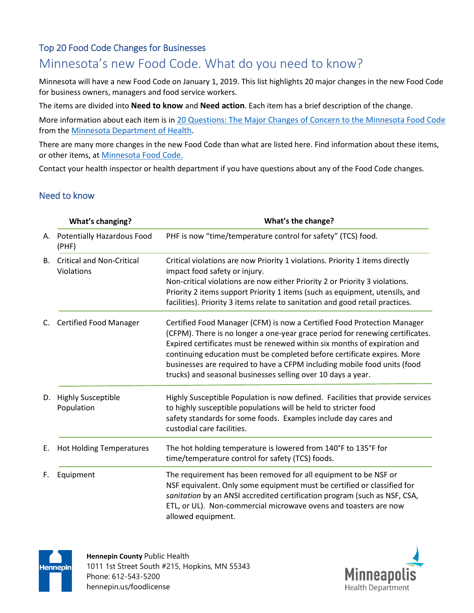## Top 20 Food Code Changes for Businesses

## Minnesota's new Food Code. What do you need to know?

Minnesota will have a new Food Code on January 1, 2019. This list highlights 20 major changes in the new Food Code for business owners, managers and food service workers.

The items are divided into **Need to know** and **Need action**. Each item has a brief description of the change.

More information about each item is in [20 Questions: The Major Changes of Concern to the Minnesota Food Code](https://www.health.state.mn.us/communities/environment/food/docs/20qstnchge.pdf) from the [Minnesota Department of Health](https://www.health.state.mn.us/).

There are many more changes in the new Food Code than what are listed here. Find information about these items, or other items, at [Minnesota Food Code](https://www.health.state.mn.us/communities/environment/food/rules/foodcode/index.html).

Contact your health inspector or health department if you have questions about any of the Food Code changes.

## Need to know

|           | What's changing?                               | What's the change?                                                                                                                                                                                                                                                                                                                                                                                                                                          |
|-----------|------------------------------------------------|-------------------------------------------------------------------------------------------------------------------------------------------------------------------------------------------------------------------------------------------------------------------------------------------------------------------------------------------------------------------------------------------------------------------------------------------------------------|
| А.        | <b>Potentially Hazardous Food</b><br>(PHF)     | PHF is now "time/temperature control for safety" (TCS) food.                                                                                                                                                                                                                                                                                                                                                                                                |
| <b>B.</b> | <b>Critical and Non-Critical</b><br>Violations | Critical violations are now Priority 1 violations. Priority 1 items directly<br>impact food safety or injury.<br>Non-critical violations are now either Priority 2 or Priority 3 violations.<br>Priority 2 items support Priority 1 items (such as equipment, utensils, and<br>facilities). Priority 3 items relate to sanitation and good retail practices.                                                                                                |
| C.        | <b>Certified Food Manager</b>                  | Certified Food Manager (CFM) is now a Certified Food Protection Manager<br>(CFPM). There is no longer a one-year grace period for renewing certificates.<br>Expired certificates must be renewed within six months of expiration and<br>continuing education must be completed before certificate expires. More<br>businesses are required to have a CFPM including mobile food units (food<br>trucks) and seasonal businesses selling over 10 days a year. |
| D.        | <b>Highly Susceptible</b><br>Population        | Highly Susceptible Population is now defined. Facilities that provide services<br>to highly susceptible populations will be held to stricter food<br>safety standards for some foods. Examples include day cares and<br>custodial care facilities.                                                                                                                                                                                                          |
| Ε.        | <b>Hot Holding Temperatures</b>                | The hot holding temperature is lowered from 140°F to 135°F for<br>time/temperature control for safety (TCS) foods.                                                                                                                                                                                                                                                                                                                                          |
| F.        | Equipment                                      | The requirement has been removed for all equipment to be NSF or<br>NSF equivalent. Only some equipment must be certified or classified for<br>sanitation by an ANSI accredited certification program (such as NSF, CSA,<br>ETL, or UL). Non-commercial microwave ovens and toasters are now<br>allowed equipment.                                                                                                                                           |



**Hennepin County** Public Health 1011 1st Street South #215, Hopkins, MN 55343 Phone: 612-543-5200 hennepin.us/foodlicense